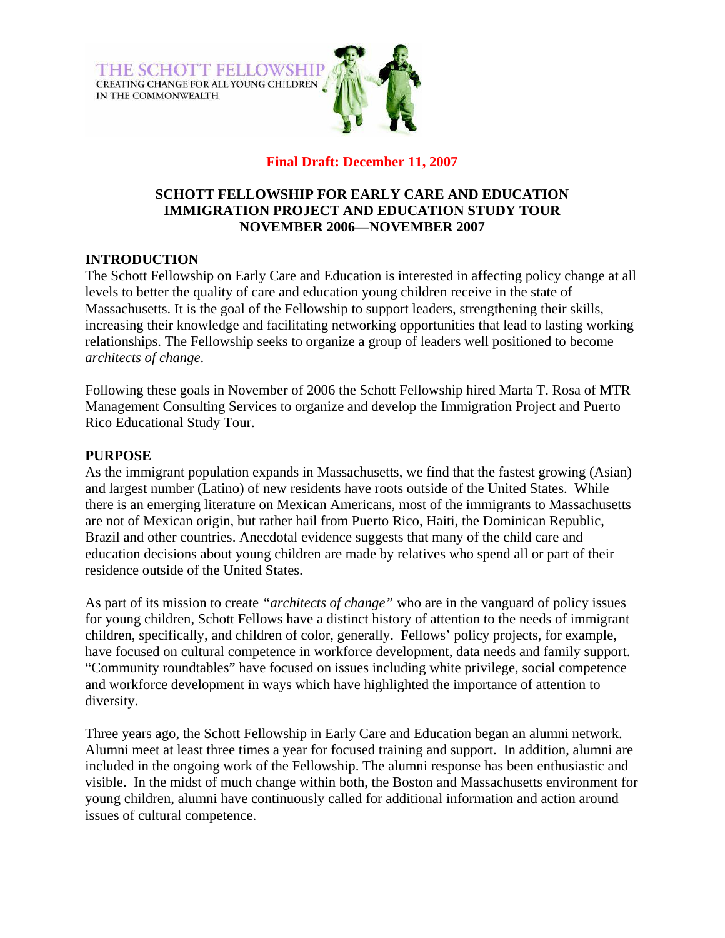**THE SCHOTT FELLOWSHIP** CREATING CHANGE FOR ALL YOUNG CHILDREN IN THE COMMONWEALTH



# **Final Draft: December 11, 2007**

### **SCHOTT FELLOWSHIP FOR EARLY CARE AND EDUCATION IMMIGRATION PROJECT AND EDUCATION STUDY TOUR NOVEMBER 2006—NOVEMBER 2007**

## **INTRODUCTION**

The Schott Fellowship on Early Care and Education is interested in affecting policy change at all levels to better the quality of care and education young children receive in the state of Massachusetts. It is the goal of the Fellowship to support leaders, strengthening their skills, increasing their knowledge and facilitating networking opportunities that lead to lasting working relationships. The Fellowship seeks to organize a group of leaders well positioned to become *architects of change*.

Following these goals in November of 2006 the Schott Fellowship hired Marta T. Rosa of MTR Management Consulting Services to organize and develop the Immigration Project and Puerto Rico Educational Study Tour.

#### **PURPOSE**

As the immigrant population expands in Massachusetts, we find that the fastest growing (Asian) and largest number (Latino) of new residents have roots outside of the United States. While there is an emerging literature on Mexican Americans, most of the immigrants to Massachusetts are not of Mexican origin, but rather hail from Puerto Rico, Haiti, the Dominican Republic, Brazil and other countries. Anecdotal evidence suggests that many of the child care and education decisions about young children are made by relatives who spend all or part of their residence outside of the United States.

As part of its mission to create *"architects of change"* who are in the vanguard of policy issues for young children, Schott Fellows have a distinct history of attention to the needs of immigrant children, specifically, and children of color, generally. Fellows' policy projects, for example, have focused on cultural competence in workforce development, data needs and family support. "Community roundtables" have focused on issues including white privilege, social competence and workforce development in ways which have highlighted the importance of attention to diversity.

Three years ago, the Schott Fellowship in Early Care and Education began an alumni network. Alumni meet at least three times a year for focused training and support. In addition, alumni are included in the ongoing work of the Fellowship. The alumni response has been enthusiastic and visible. In the midst of much change within both, the Boston and Massachusetts environment for young children, alumni have continuously called for additional information and action around issues of cultural competence.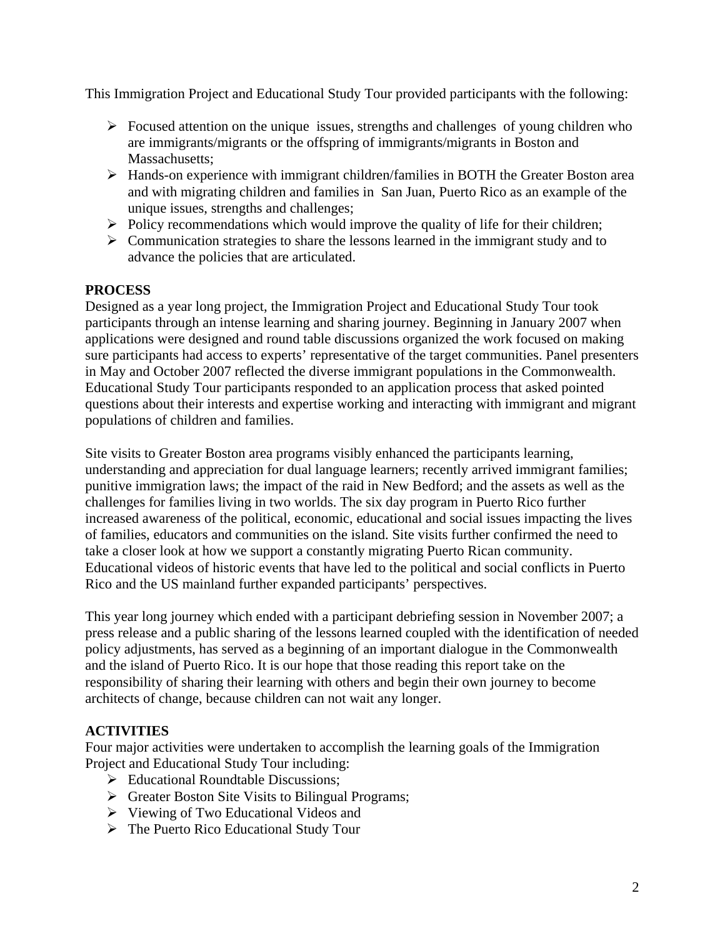This Immigration Project and Educational Study Tour provided participants with the following:

- $\triangleright$  Focused attention on the unique issues, strengths and challenges of young children who are immigrants/migrants or the offspring of immigrants/migrants in Boston and Massachusetts:
- ¾ Hands-on experience with immigrant children/families in BOTH the Greater Boston area and with migrating children and families in San Juan, Puerto Rico as an example of the unique issues, strengths and challenges;
- $\triangleright$  Policy recommendations which would improve the quality of life for their children;
- $\triangleright$  Communication strategies to share the lessons learned in the immigrant study and to advance the policies that are articulated.

## **PROCESS**

Designed as a year long project, the Immigration Project and Educational Study Tour took participants through an intense learning and sharing journey. Beginning in January 2007 when applications were designed and round table discussions organized the work focused on making sure participants had access to experts' representative of the target communities. Panel presenters in May and October 2007 reflected the diverse immigrant populations in the Commonwealth. Educational Study Tour participants responded to an application process that asked pointed questions about their interests and expertise working and interacting with immigrant and migrant populations of children and families.

Site visits to Greater Boston area programs visibly enhanced the participants learning, understanding and appreciation for dual language learners; recently arrived immigrant families; punitive immigration laws; the impact of the raid in New Bedford; and the assets as well as the challenges for families living in two worlds. The six day program in Puerto Rico further increased awareness of the political, economic, educational and social issues impacting the lives of families, educators and communities on the island. Site visits further confirmed the need to take a closer look at how we support a constantly migrating Puerto Rican community. Educational videos of historic events that have led to the political and social conflicts in Puerto Rico and the US mainland further expanded participants' perspectives.

This year long journey which ended with a participant debriefing session in November 2007; a press release and a public sharing of the lessons learned coupled with the identification of needed policy adjustments, has served as a beginning of an important dialogue in the Commonwealth and the island of Puerto Rico. It is our hope that those reading this report take on the responsibility of sharing their learning with others and begin their own journey to become architects of change, because children can not wait any longer.

## **ACTIVITIES**

Four major activities were undertaken to accomplish the learning goals of the Immigration Project and Educational Study Tour including:

- $\triangleright$  Educational Roundtable Discussions;
- $\triangleright$  Greater Boston Site Visits to Bilingual Programs;
- ¾ Viewing of Two Educational Videos and
- $\triangleright$  The Puerto Rico Educational Study Tour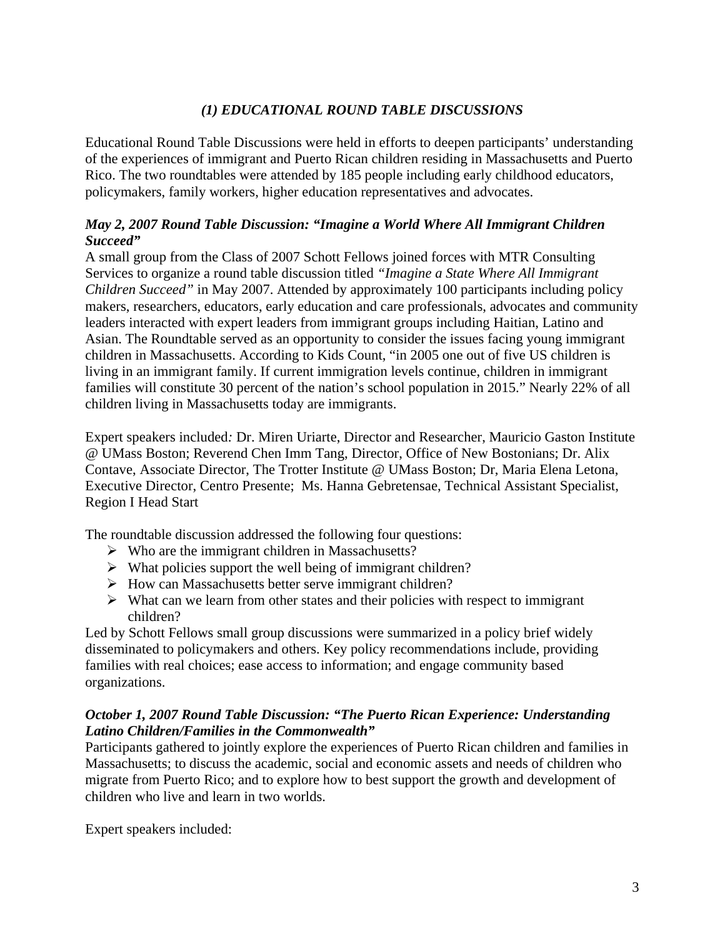# *(1) EDUCATIONAL ROUND TABLE DISCUSSIONS*

Educational Round Table Discussions were held in efforts to deepen participants' understanding of the experiences of immigrant and Puerto Rican children residing in Massachusetts and Puerto Rico. The two roundtables were attended by 185 people including early childhood educators, policymakers, family workers, higher education representatives and advocates.

## *May 2, 2007 Round Table Discussion: "Imagine a World Where All Immigrant Children Succeed"*

A small group from the Class of 2007 Schott Fellows joined forces with MTR Consulting Services to organize a round table discussion titled *"Imagine a State Where All Immigrant Children Succeed"* in May 2007. Attended by approximately 100 participants including policy makers, researchers, educators, early education and care professionals, advocates and community leaders interacted with expert leaders from immigrant groups including Haitian, Latino and Asian. The Roundtable served as an opportunity to consider the issues facing young immigrant children in Massachusetts. According to Kids Count, "in 2005 one out of five US children is living in an immigrant family. If current immigration levels continue, children in immigrant families will constitute 30 percent of the nation's school population in 2015." Nearly 22% of all children living in Massachusetts today are immigrants.

Expert speakers included*:* Dr. Miren Uriarte, Director and Researcher, Mauricio Gaston Institute @ UMass Boston; Reverend Chen Imm Tang, Director, Office of New Bostonians; Dr. Alix Contave, Associate Director, The Trotter Institute @ UMass Boston; Dr, Maria Elena Letona, Executive Director, Centro Presente; Ms. Hanna Gebretensae, Technical Assistant Specialist, Region I Head Start

The roundtable discussion addressed the following four questions:

- $\triangleright$  Who are the immigrant children in Massachusetts?
- $\triangleright$  What policies support the well being of immigrant children?
- ¾ How can Massachusetts better serve immigrant children?
- $\triangleright$  What can we learn from other states and their policies with respect to immigrant children?

Led by Schott Fellows small group discussions were summarized in a policy brief widely disseminated to policymakers and others. Key policy recommendations include, providing families with real choices; ease access to information; and engage community based organizations.

## *October 1, 2007 Round Table Discussion: "The Puerto Rican Experience: Understanding Latino Children/Families in the Commonwealth"*

Participants gathered to jointly explore the experiences of Puerto Rican children and families in Massachusetts; to discuss the academic, social and economic assets and needs of children who migrate from Puerto Rico; and to explore how to best support the growth and development of children who live and learn in two worlds.

Expert speakers included: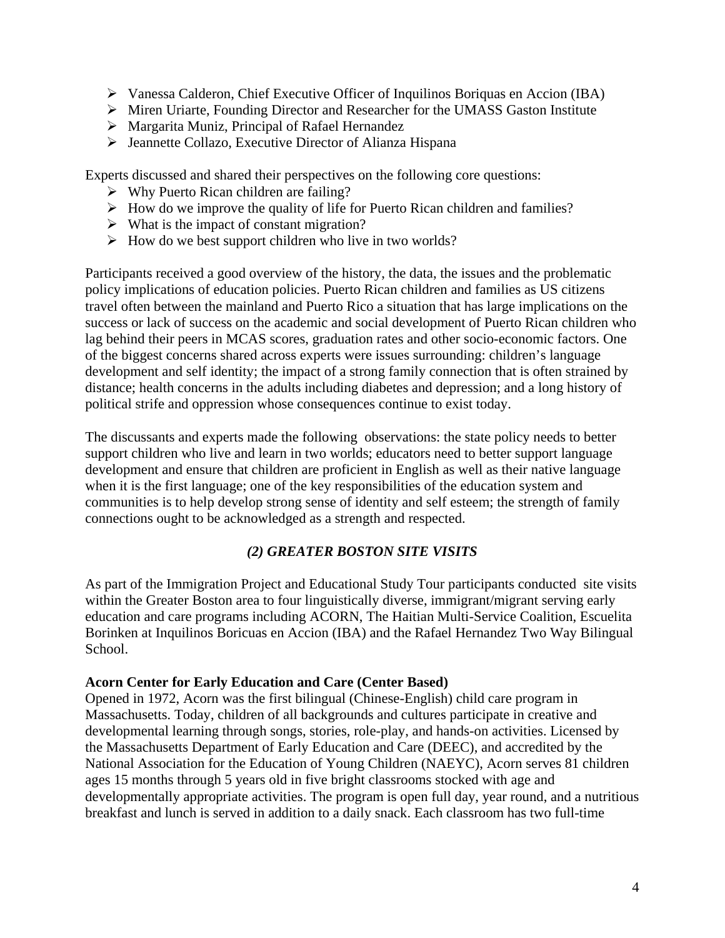- ¾ Vanessa Calderon, Chief Executive Officer of Inquilinos Boriquas en Accion (IBA)
- ¾ Miren Uriarte, Founding Director and Researcher for the UMASS Gaston Institute
- $\triangleright$  Margarita Muniz, Principal of Rafael Hernandez
- ¾ Jeannette Collazo, Executive Director of Alianza Hispana

Experts discussed and shared their perspectives on the following core questions:

- $\triangleright$  Why Puerto Rican children are failing?
- $\triangleright$  How do we improve the quality of life for Puerto Rican children and families?
- $\triangleright$  What is the impact of constant migration?
- $\triangleright$  How do we best support children who live in two worlds?

Participants received a good overview of the history, the data, the issues and the problematic policy implications of education policies. Puerto Rican children and families as US citizens travel often between the mainland and Puerto Rico a situation that has large implications on the success or lack of success on the academic and social development of Puerto Rican children who lag behind their peers in MCAS scores, graduation rates and other socio-economic factors. One of the biggest concerns shared across experts were issues surrounding: children's language development and self identity; the impact of a strong family connection that is often strained by distance; health concerns in the adults including diabetes and depression; and a long history of political strife and oppression whose consequences continue to exist today.

The discussants and experts made the following observations: the state policy needs to better support children who live and learn in two worlds; educators need to better support language development and ensure that children are proficient in English as well as their native language when it is the first language; one of the key responsibilities of the education system and communities is to help develop strong sense of identity and self esteem; the strength of family connections ought to be acknowledged as a strength and respected.

## *(2) GREATER BOSTON SITE VISITS*

As part of the Immigration Project and Educational Study Tour participants conducted site visits within the Greater Boston area to four linguistically diverse, immigrant/migrant serving early education and care programs including ACORN, The Haitian Multi-Service Coalition, Escuelita Borinken at Inquilinos Boricuas en Accion (IBA) and the Rafael Hernandez Two Way Bilingual School.

#### **Acorn Center for Early Education and Care (Center Based)**

Opened in 1972, Acorn was the first bilingual (Chinese-English) child care program in Massachusetts. Today, children of all backgrounds and cultures participate in creative and developmental learning through songs, stories, role-play, and hands-on activities. Licensed by the Massachusetts Department of Early Education and Care (DEEC), and accredited by the National Association for the Education of Young Children (NAEYC), Acorn serves 81 children ages 15 months through 5 years old in five bright classrooms stocked with age and developmentally appropriate activities. The program is open full day, year round, and a nutritious breakfast and lunch is served in addition to a daily snack. Each classroom has two full-time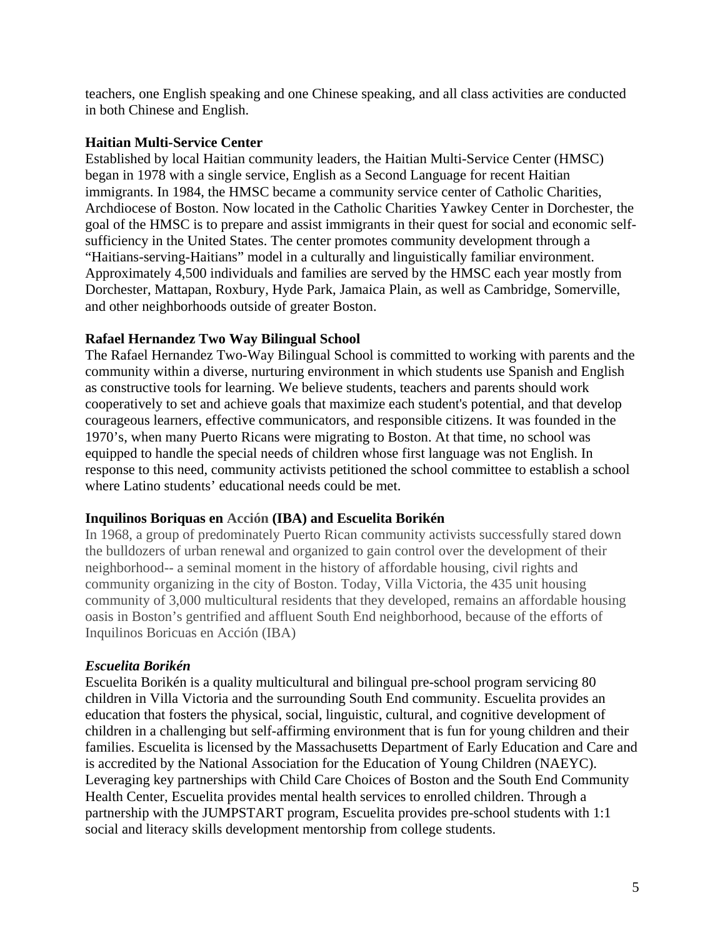teachers, one English speaking and one Chinese speaking, and all class activities are conducted in both Chinese and English.

### **Haitian Multi-Service Center**

Established by local Haitian community leaders, the Haitian Multi-Service Center (HMSC) began in 1978 with a single service, English as a Second Language for recent Haitian immigrants. In 1984, the HMSC became a community service center of Catholic Charities, Archdiocese of Boston. Now located in the Catholic Charities Yawkey Center in Dorchester, the goal of the HMSC is to prepare and assist immigrants in their quest for social and economic selfsufficiency in the United States. The center promotes community development through a "Haitians-serving-Haitians" model in a culturally and linguistically familiar environment. Approximately 4,500 individuals and families are served by the HMSC each year mostly from Dorchester, Mattapan, Roxbury, Hyde Park, Jamaica Plain, as well as Cambridge, Somerville, and other neighborhoods outside of greater Boston.

## **Rafael Hernandez Two Way Bilingual School**

The Rafael Hernandez Two-Way Bilingual School is committed to working with parents and the community within a diverse, nurturing environment in which students use Spanish and English as constructive tools for learning. We believe students, teachers and parents should work cooperatively to set and achieve goals that maximize each student's potential, and that develop courageous learners, effective communicators, and responsible citizens. It was founded in the 1970's, when many Puerto Ricans were migrating to Boston. At that time, no school was equipped to handle the special needs of children whose first language was not English. In response to this need, community activists petitioned the school committee to establish a school where Latino students' educational needs could be met.

## **Inquilinos Boriquas en Acción (IBA) and Escuelita Borikén**

In 1968, a group of predominately Puerto Rican community activists successfully stared down the bulldozers of urban renewal and organized to gain control over the development of their neighborhood-- a seminal moment in the history of affordable housing, civil rights and community organizing in the city of Boston. Today, Villa Victoria, the 435 unit housing community of 3,000 multicultural residents that they developed, remains an affordable housing oasis in Boston's gentrified and affluent South End neighborhood, because of the efforts of Inquilinos Boricuas en Acción (IBA)

## *Escuelita Borikén*

Escuelita Borikén is a quality multicultural and bilingual pre-school program servicing 80 children in Villa Victoria and the surrounding South End community. Escuelita provides an education that fosters the physical, social, linguistic, cultural, and cognitive development of children in a challenging but self-affirming environment that is fun for young children and their families. Escuelita is licensed by the Massachusetts Department of Early Education and Care and is accredited by the National Association for the Education of Young Children (NAEYC). Leveraging key partnerships with Child Care Choices of Boston and the South End Community Health Center, Escuelita provides mental health services to enrolled children. Through a partnership with the JUMPSTART program, Escuelita provides pre-school students with 1:1 social and literacy skills development mentorship from college students.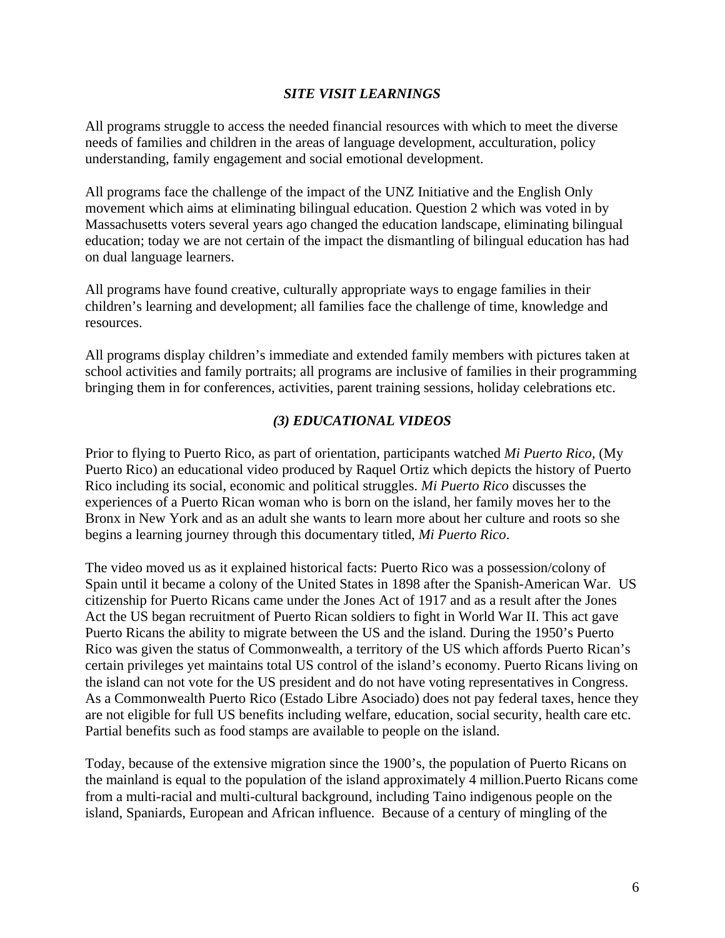### *SITE VISIT LEARNINGS*

All programs struggle to access the needed financial resources with which to meet the diverse needs of families and children in the areas of language development, acculturation, policy understanding, family engagement and social emotional development.

All programs face the challenge of the impact of the UNZ Initiative and the English Only movement which aims at eliminating bilingual education. Question 2 which was voted in by Massachusetts voters several years ago changed the education landscape, eliminating bilingual education; today we are not certain of the impact the dismantling of bilingual education has had on dual language learners.

All programs have found creative, culturally appropriate ways to engage families in their children's learning and development; all families face the challenge of time, knowledge and resources.

All programs display children's immediate and extended family members with pictures taken at school activities and family portraits; all programs are inclusive of families in their programming bringing them in for conferences, activities, parent training sessions, holiday celebrations etc.

### *(3) EDUCATIONAL VIDEOS*

Prior to flying to Puerto Rico, as part of orientation, participants watched *Mi Puerto Rico,* (My Puerto Rico) an educational video produced by Raquel Ortiz which depicts the history of Puerto Rico including its social, economic and political struggles. *Mi Puerto Rico* discusses the experiences of a Puerto Rican woman who is born on the island, her family moves her to the Bronx in New York and as an adult she wants to learn more about her culture and roots so she begins a learning journey through this documentary titled, *Mi Puerto Rico*.

The video moved us as it explained historical facts: Puerto Rico was a possession/colony of Spain until it became a colony of the United States in 1898 after the Spanish-American War. US citizenship for Puerto Ricans came under the Jones Act of 1917 and as a result after the Jones Act the US began recruitment of Puerto Rican soldiers to fight in World War II. This act gave Puerto Ricans the ability to migrate between the US and the island. During the 1950's Puerto Rico was given the status of Commonwealth, a territory of the US which affords Puerto Rican's certain privileges yet maintains total US control of the island's economy. Puerto Ricans living on the island can not vote for the US president and do not have voting representatives in Congress. As a Commonwealth Puerto Rico (Estado Libre Asociado) does not pay federal taxes, hence they are not eligible for full US benefits including welfare, education, social security, health care etc. Partial benefits such as food stamps are available to people on the island.

Today, because of the extensive migration since the 1900's, the population of Puerto Ricans on the mainland is equal to the population of the island approximately 4 million.Puerto Ricans come from a multi-racial and multi-cultural background, including Taino indigenous people on the island, Spaniards, European and African influence. Because of a century of mingling of the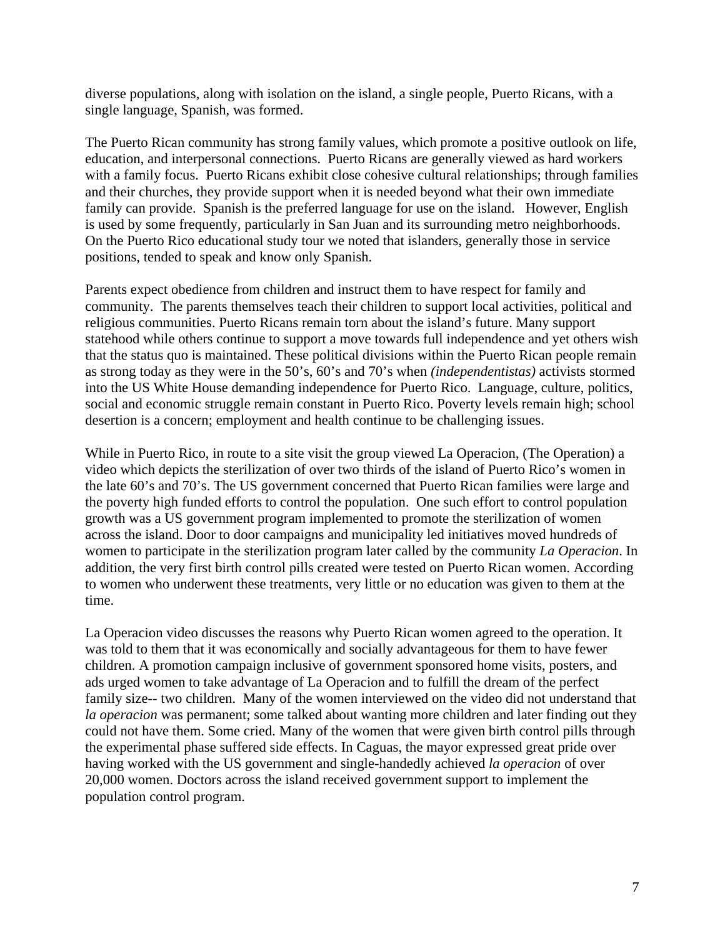diverse populations, along with isolation on the island, a single people, Puerto Ricans, with a single language, Spanish, was formed.

The Puerto Rican community has strong family values, which promote a positive outlook on life, education, and interpersonal connections. Puerto Ricans are generally viewed as hard workers with a family focus. Puerto Ricans exhibit close cohesive cultural relationships; through families and their churches, they provide support when it is needed beyond what their own immediate family can provide. Spanish is the preferred language for use on the island. However, English is used by some frequently, particularly in San Juan and its surrounding metro neighborhoods. On the Puerto Rico educational study tour we noted that islanders, generally those in service positions, tended to speak and know only Spanish.

Parents expect obedience from children and instruct them to have respect for family and community. The parents themselves teach their children to support local activities, political and religious communities. Puerto Ricans remain torn about the island's future. Many support statehood while others continue to support a move towards full independence and yet others wish that the status quo is maintained. These political divisions within the Puerto Rican people remain as strong today as they were in the 50's, 60's and 70's when *(independentistas)* activists stormed into the US White House demanding independence for Puerto Rico. Language, culture, politics, social and economic struggle remain constant in Puerto Rico. Poverty levels remain high; school desertion is a concern; employment and health continue to be challenging issues.

While in Puerto Rico, in route to a site visit the group viewed La Operacion, (The Operation) a video which depicts the sterilization of over two thirds of the island of Puerto Rico's women in the late 60's and 70's. The US government concerned that Puerto Rican families were large and the poverty high funded efforts to control the population. One such effort to control population growth was a US government program implemented to promote the sterilization of women across the island. Door to door campaigns and municipality led initiatives moved hundreds of women to participate in the sterilization program later called by the community *La Operacion*. In addition, the very first birth control pills created were tested on Puerto Rican women. According to women who underwent these treatments, very little or no education was given to them at the time.

La Operacion video discusses the reasons why Puerto Rican women agreed to the operation. It was told to them that it was economically and socially advantageous for them to have fewer children. A promotion campaign inclusive of government sponsored home visits, posters, and ads urged women to take advantage of La Operacion and to fulfill the dream of the perfect family size-- two children. Many of the women interviewed on the video did not understand that *la operacion* was permanent; some talked about wanting more children and later finding out they could not have them. Some cried. Many of the women that were given birth control pills through the experimental phase suffered side effects. In Caguas, the mayor expressed great pride over having worked with the US government and single-handedly achieved *la operacion* of over 20,000 women. Doctors across the island received government support to implement the population control program.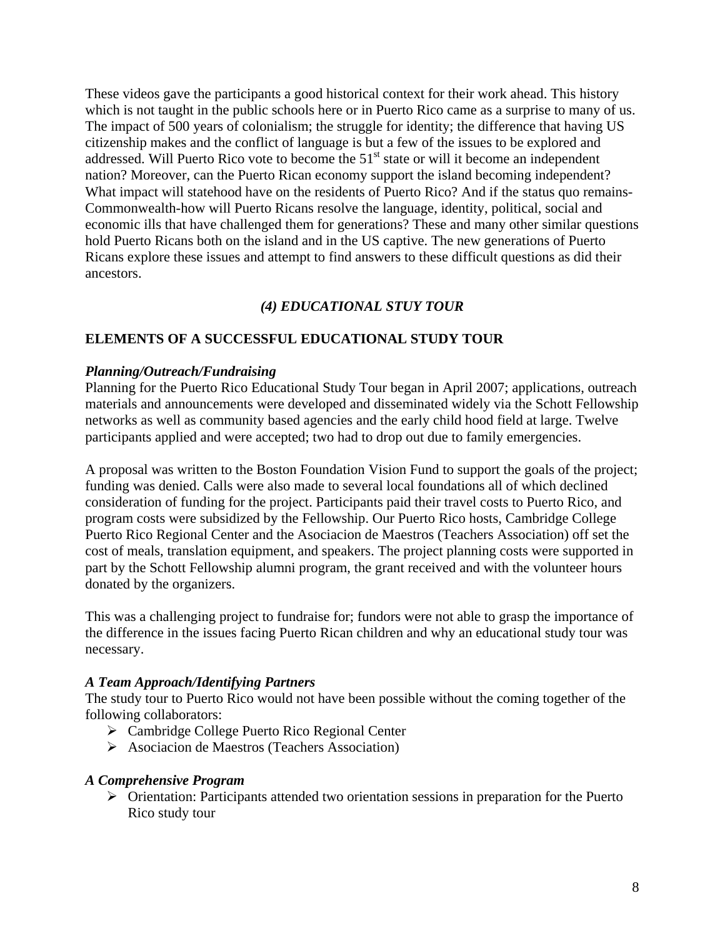These videos gave the participants a good historical context for their work ahead. This history which is not taught in the public schools here or in Puerto Rico came as a surprise to many of us. The impact of 500 years of colonialism; the struggle for identity; the difference that having US citizenship makes and the conflict of language is but a few of the issues to be explored and addressed. Will Puerto Rico vote to become the 51<sup>st</sup> state or will it become an independent nation? Moreover, can the Puerto Rican economy support the island becoming independent? What impact will statehood have on the residents of Puerto Rico? And if the status quo remains-Commonwealth-how will Puerto Ricans resolve the language, identity, political, social and economic ills that have challenged them for generations? These and many other similar questions hold Puerto Ricans both on the island and in the US captive. The new generations of Puerto Ricans explore these issues and attempt to find answers to these difficult questions as did their ancestors.

# *(4) EDUCATIONAL STUY TOUR*

## **ELEMENTS OF A SUCCESSFUL EDUCATIONAL STUDY TOUR**

#### *Planning/Outreach/Fundraising*

Planning for the Puerto Rico Educational Study Tour began in April 2007; applications, outreach materials and announcements were developed and disseminated widely via the Schott Fellowship networks as well as community based agencies and the early child hood field at large. Twelve participants applied and were accepted; two had to drop out due to family emergencies.

A proposal was written to the Boston Foundation Vision Fund to support the goals of the project; funding was denied. Calls were also made to several local foundations all of which declined consideration of funding for the project. Participants paid their travel costs to Puerto Rico, and program costs were subsidized by the Fellowship. Our Puerto Rico hosts, Cambridge College Puerto Rico Regional Center and the Asociacion de Maestros (Teachers Association) off set the cost of meals, translation equipment, and speakers. The project planning costs were supported in part by the Schott Fellowship alumni program, the grant received and with the volunteer hours donated by the organizers.

This was a challenging project to fundraise for; fundors were not able to grasp the importance of the difference in the issues facing Puerto Rican children and why an educational study tour was necessary.

#### *A Team Approach/Identifying Partners*

The study tour to Puerto Rico would not have been possible without the coming together of the following collaborators:

- ¾ Cambridge College Puerto Rico Regional Center
- ¾ Asociacion de Maestros (Teachers Association)

#### *A Comprehensive Program*

¾ Orientation: Participants attended two orientation sessions in preparation for the Puerto Rico study tour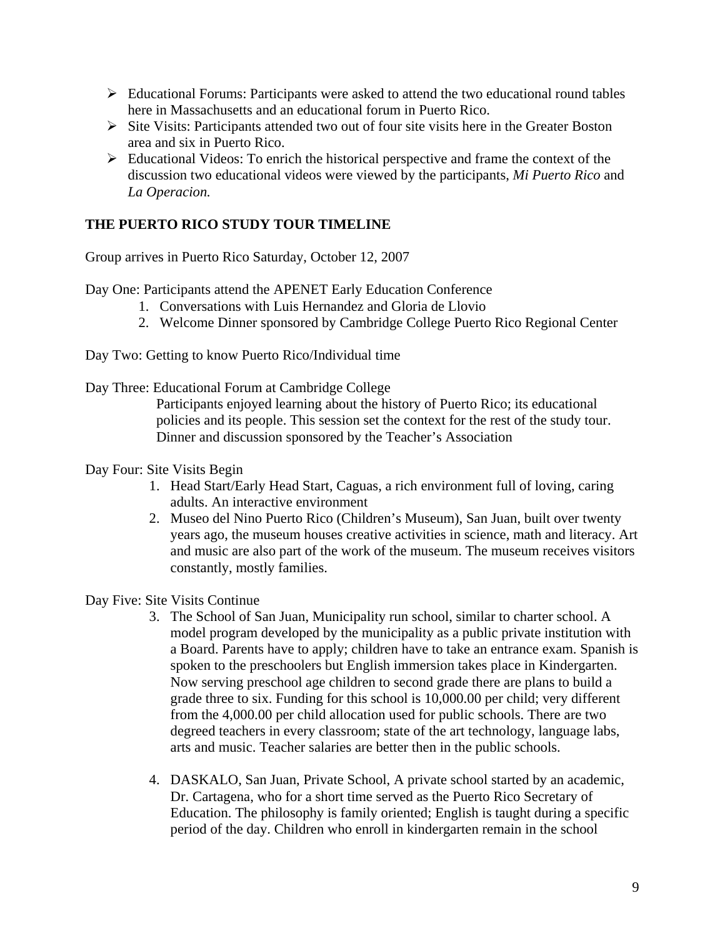- $\triangleright$  Educational Forums: Participants were asked to attend the two educational round tables here in Massachusetts and an educational forum in Puerto Rico.
- ¾ Site Visits: Participants attended two out of four site visits here in the Greater Boston area and six in Puerto Rico.
- $\triangleright$  Educational Videos: To enrich the historical perspective and frame the context of the discussion two educational videos were viewed by the participants, *Mi Puerto Rico* and *La Operacion.*

# **THE PUERTO RICO STUDY TOUR TIMELINE**

Group arrives in Puerto Rico Saturday, October 12, 2007

Day One: Participants attend the APENET Early Education Conference

- 1. Conversations with Luis Hernandez and Gloria de Llovio
- 2. Welcome Dinner sponsored by Cambridge College Puerto Rico Regional Center

Day Two: Getting to know Puerto Rico/Individual time

Day Three: Educational Forum at Cambridge College

Participants enjoyed learning about the history of Puerto Rico; its educational policies and its people. This session set the context for the rest of the study tour. Dinner and discussion sponsored by the Teacher's Association

- Day Four: Site Visits Begin
	- 1. Head Start/Early Head Start, Caguas, a rich environment full of loving, caring adults. An interactive environment
	- 2. Museo del Nino Puerto Rico (Children's Museum), San Juan, built over twenty years ago, the museum houses creative activities in science, math and literacy. Art and music are also part of the work of the museum. The museum receives visitors constantly, mostly families.

Day Five: Site Visits Continue

- 3. The School of San Juan, Municipality run school, similar to charter school. A model program developed by the municipality as a public private institution with a Board. Parents have to apply; children have to take an entrance exam. Spanish is spoken to the preschoolers but English immersion takes place in Kindergarten. Now serving preschool age children to second grade there are plans to build a grade three to six. Funding for this school is 10,000.00 per child; very different from the 4,000.00 per child allocation used for public schools. There are two degreed teachers in every classroom; state of the art technology, language labs, arts and music. Teacher salaries are better then in the public schools.
- 4. DASKALO, San Juan, Private School, A private school started by an academic, Dr. Cartagena, who for a short time served as the Puerto Rico Secretary of Education. The philosophy is family oriented; English is taught during a specific period of the day. Children who enroll in kindergarten remain in the school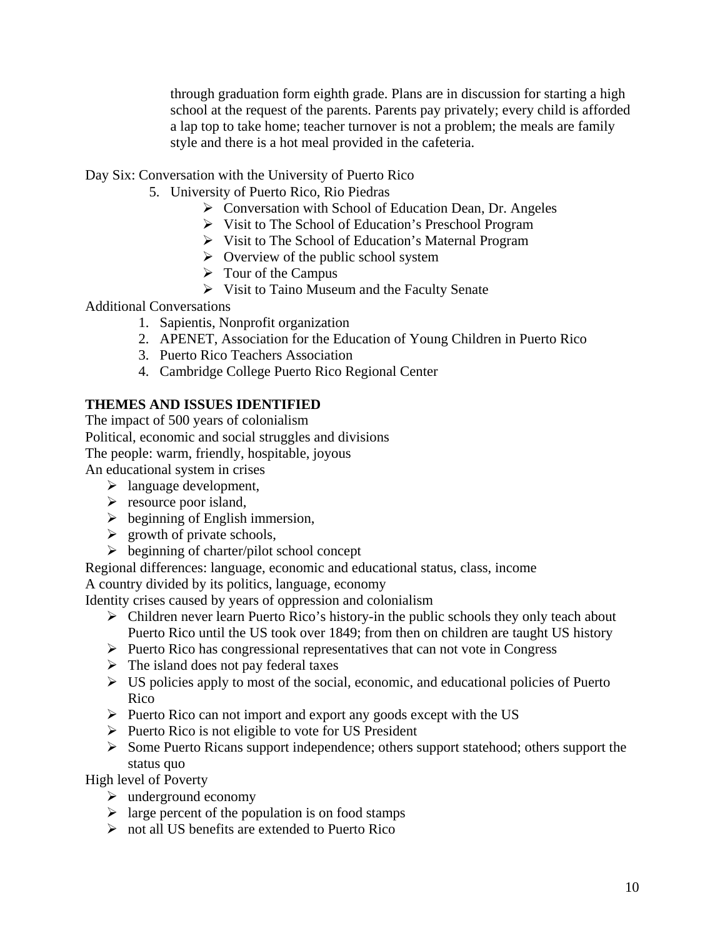through graduation form eighth grade. Plans are in discussion for starting a high school at the request of the parents. Parents pay privately; every child is afforded a lap top to take home; teacher turnover is not a problem; the meals are family style and there is a hot meal provided in the cafeteria.

Day Six: Conversation with the University of Puerto Rico

- 5. University of Puerto Rico, Rio Piedras
	- $\triangleright$  Conversation with School of Education Dean, Dr. Angeles
	- ¾ Visit to The School of Education's Preschool Program
	- ¾ Visit to The School of Education's Maternal Program
	- $\triangleright$  Overview of the public school system
	- $\triangleright$  Tour of the Campus
	- $\triangleright$  Visit to Taino Museum and the Faculty Senate

Additional Conversations

- 1. Sapientis, Nonprofit organization
- 2. APENET, Association for the Education of Young Children in Puerto Rico
- 3. Puerto Rico Teachers Association
- 4. Cambridge College Puerto Rico Regional Center

# **THEMES AND ISSUES IDENTIFIED**

The impact of 500 years of colonialism Political, economic and social struggles and divisions The people: warm, friendly, hospitable, joyous An educational system in crises

 $\triangleright$  language development,

- $\triangleright$  resource poor island,
- $\triangleright$  beginning of English immersion,
- $\triangleright$  growth of private schools,
- $\triangleright$  beginning of charter/pilot school concept

Regional differences: language, economic and educational status, class, income A country divided by its politics, language, economy

Identity crises caused by years of oppression and colonialism

- $\triangleright$  Children never learn Puerto Rico's history-in the public schools they only teach about Puerto Rico until the US took over 1849; from then on children are taught US history
- $\triangleright$  Puerto Rico has congressional representatives that can not vote in Congress
- $\triangleright$  The island does not pay federal taxes
- $\triangleright$  US policies apply to most of the social, economic, and educational policies of Puerto Rico
- $\triangleright$  Puerto Rico can not import and export any goods except with the US
- $\triangleright$  Puerto Rico is not eligible to vote for US President
- ¾ Some Puerto Ricans support independence; others support statehood; others support the status quo

High level of Poverty

- $\blacktriangleright$  underground economy
- $\triangleright$  large percent of the population is on food stamps
- ¾ not all US benefits are extended to Puerto Rico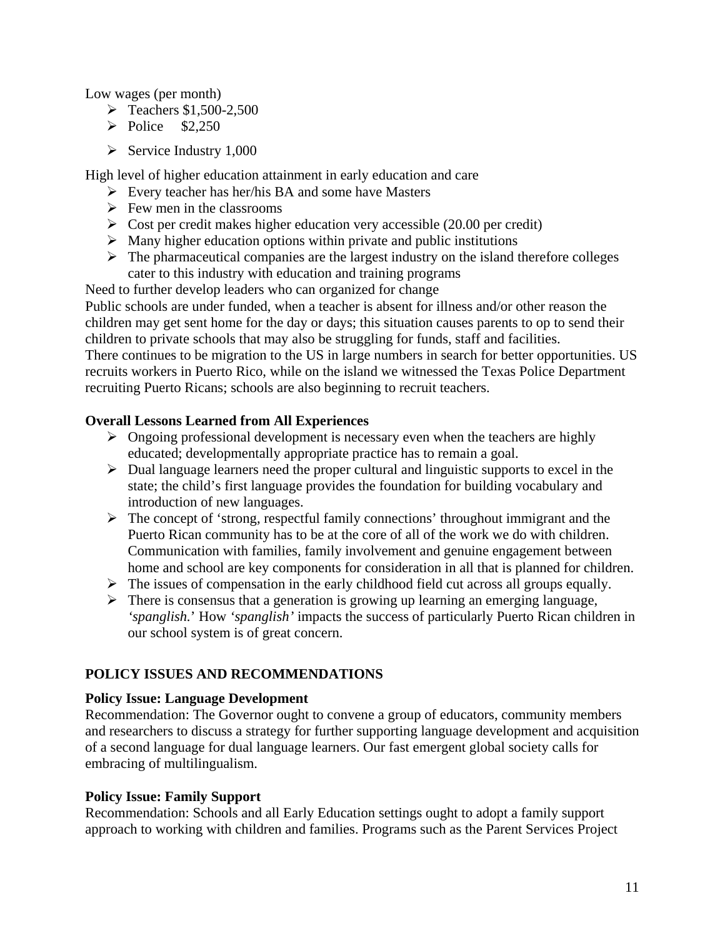Low wages (per month)

- $\triangleright$  Teachers \$1,500-2,500
- $\triangleright$  Police \$2,250
- $\triangleright$  Service Industry 1,000

High level of higher education attainment in early education and care

- $\triangleright$  Every teacher has her/his BA and some have Masters
- $\triangleright$  Few men in the classrooms
- $\triangleright$  Cost per credit makes higher education very accessible (20.00 per credit)
- $\triangleright$  Many higher education options within private and public institutions
- $\triangleright$  The pharmaceutical companies are the largest industry on the island therefore colleges cater to this industry with education and training programs

Need to further develop leaders who can organized for change Public schools are under funded, when a teacher is absent for illness and/or other reason the children may get sent home for the day or days; this situation causes parents to op to send their children to private schools that may also be struggling for funds, staff and facilities.

There continues to be migration to the US in large numbers in search for better opportunities. US recruits workers in Puerto Rico, while on the island we witnessed the Texas Police Department recruiting Puerto Ricans; schools are also beginning to recruit teachers.

## **Overall Lessons Learned from All Experiences**

- $\triangleright$  Ongoing professional development is necessary even when the teachers are highly educated; developmentally appropriate practice has to remain a goal.
- $\triangleright$  Dual language learners need the proper cultural and linguistic supports to excel in the state; the child's first language provides the foundation for building vocabulary and introduction of new languages.
- $\triangleright$  The concept of 'strong, respectful family connections' throughout immigrant and the Puerto Rican community has to be at the core of all of the work we do with children. Communication with families, family involvement and genuine engagement between home and school are key components for consideration in all that is planned for children.
- $\triangleright$  The issues of compensation in the early childhood field cut across all groups equally.
- $\triangleright$  There is consensus that a generation is growing up learning an emerging language, *'spanglish.*' How *'spanglish'* impacts the success of particularly Puerto Rican children in our school system is of great concern.

## **POLICY ISSUES AND RECOMMENDATIONS**

## **Policy Issue: Language Development**

Recommendation: The Governor ought to convene a group of educators, community members and researchers to discuss a strategy for further supporting language development and acquisition of a second language for dual language learners. Our fast emergent global society calls for embracing of multilingualism.

#### **Policy Issue: Family Support**

Recommendation: Schools and all Early Education settings ought to adopt a family support approach to working with children and families. Programs such as the Parent Services Project